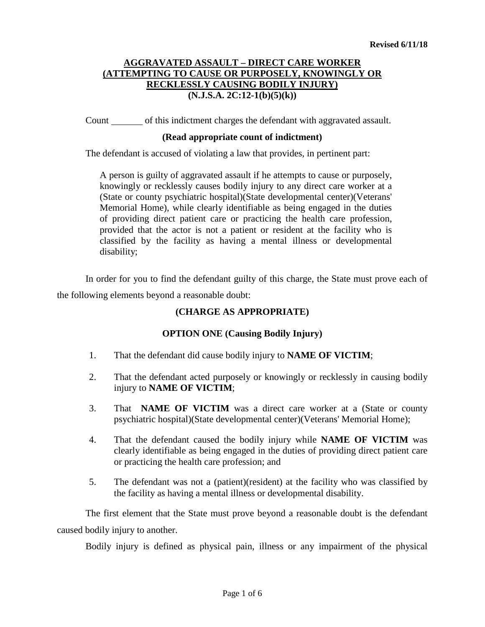# **AGGRAVATED ASSAULT – DIRECT CARE WORKER (ATTEMPTING TO CAUSE OR PURPOSELY, KNOWINGLY OR RECKLESSLY CAUSING BODILY INJURY) (N.J.S.A. 2C:12-1(b)(5)(k))**

Count of this indictment charges the defendant with aggravated assault.

### **(Read appropriate count of indictment)**

The defendant is accused of violating a law that provides, in pertinent part:

A person is guilty of aggravated assault if he attempts to cause or purposely, knowingly or recklessly causes bodily injury to any direct care worker at a (State or county psychiatric hospital)(State developmental center)(Veterans' Memorial Home), while clearly identifiable as being engaged in the duties of providing direct patient care or practicing the health care profession, provided that the actor is not a patient or resident at the facility who is classified by the facility as having a mental illness or developmental disability;

In order for you to find the defendant guilty of this charge, the State must prove each of the following elements beyond a reasonable doubt:

# **(CHARGE AS APPROPRIATE)**

# **OPTION ONE (Causing Bodily Injury)**

- 1. That the defendant did cause bodily injury to **NAME OF VICTIM**;
- 2. That the defendant acted purposely or knowingly or recklessly in causing bodily injury to **NAME OF VICTIM**;
- 3. That **NAME OF VICTIM** was a direct care worker at a (State or county psychiatric hospital)(State developmental center)(Veterans' Memorial Home);
- 4. That the defendant caused the bodily injury while **NAME OF VICTIM** was clearly identifiable as being engaged in the duties of providing direct patient care or practicing the health care profession; and
- 5. The defendant was not a (patient)(resident) at the facility who was classified by the facility as having a mental illness or developmental disability.

The first element that the State must prove beyond a reasonable doubt is the defendant caused bodily injury to another.

Bodily injury is defined as physical pain, illness or any impairment of the physical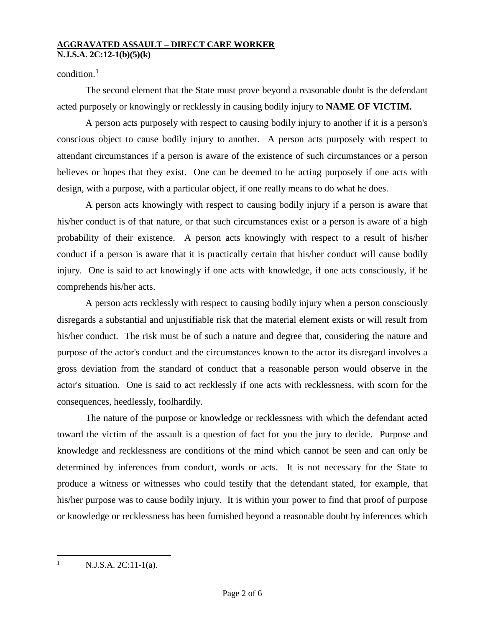### **AGGRAVATED ASSAULT – DIRECT CARE WORKER N.J.S.A. 2C:12-1(b)(5)(k)**

# condition. $<sup>1</sup>$  $<sup>1</sup>$  $<sup>1</sup>$ </sup>

The second element that the State must prove beyond a reasonable doubt is the defendant acted purposely or knowingly or recklessly in causing bodily injury to **NAME OF VICTIM.**

A person acts purposely with respect to causing bodily injury to another if it is a person's conscious object to cause bodily injury to another. A person acts purposely with respect to attendant circumstances if a person is aware of the existence of such circumstances or a person believes or hopes that they exist. One can be deemed to be acting purposely if one acts with design, with a purpose, with a particular object, if one really means to do what he does.

A person acts knowingly with respect to causing bodily injury if a person is aware that his/her conduct is of that nature, or that such circumstances exist or a person is aware of a high probability of their existence. A person acts knowingly with respect to a result of his/her conduct if a person is aware that it is practically certain that his/her conduct will cause bodily injury. One is said to act knowingly if one acts with knowledge, if one acts consciously, if he comprehends his/her acts.

A person acts recklessly with respect to causing bodily injury when a person consciously disregards a substantial and unjustifiable risk that the material element exists or will result from his/her conduct. The risk must be of such a nature and degree that, considering the nature and purpose of the actor's conduct and the circumstances known to the actor its disregard involves a gross deviation from the standard of conduct that a reasonable person would observe in the actor's situation. One is said to act recklessly if one acts with recklessness, with scorn for the consequences, heedlessly, foolhardily.

The nature of the purpose or knowledge or recklessness with which the defendant acted toward the victim of the assault is a question of fact for you the jury to decide. Purpose and knowledge and recklessness are conditions of the mind which cannot be seen and can only be determined by inferences from conduct, words or acts. It is not necessary for the State to produce a witness or witnesses who could testify that the defendant stated, for example, that his/her purpose was to cause bodily injury. It is within your power to find that proof of purpose or knowledge or recklessness has been furnished beyond a reasonable doubt by inferences which

<span id="page-1-0"></span> $N.J.S.A. 2C:11-1(a)$ .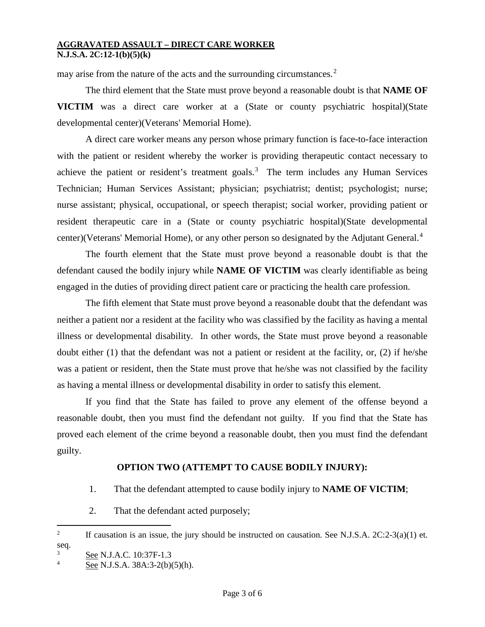#### **AGGRAVATED ASSAULT – DIRECT CARE WORKER N.J.S.A. 2C:12-1(b)(5)(k)**

may arise from the nature of the acts and the surrounding circumstances.<sup>[2](#page-2-0)</sup>

The third element that the State must prove beyond a reasonable doubt is that **NAME OF VICTIM** was a direct care worker at a (State or county psychiatric hospital)(State developmental center)(Veterans' Memorial Home).

A direct care worker means any person whose primary function is face-to-face interaction with the patient or resident whereby the worker is providing therapeutic contact necessary to achieve the patient or resident's treatment goals.<sup>[3](#page-2-1)</sup> The term includes any Human Services Technician; Human Services Assistant; physician; psychiatrist; dentist; psychologist; nurse; nurse assistant; physical, occupational, or speech therapist; social worker, providing patient or resident therapeutic care in a (State or county psychiatric hospital)(State developmental center)(Veterans' Memorial Home), or any other person so designated by the Adjutant General.<sup>[4](#page-2-2)</sup>

The fourth element that the State must prove beyond a reasonable doubt is that the defendant caused the bodily injury while **NAME OF VICTIM** was clearly identifiable as being engaged in the duties of providing direct patient care or practicing the health care profession.

The fifth element that State must prove beyond a reasonable doubt that the defendant was neither a patient nor a resident at the facility who was classified by the facility as having a mental illness or developmental disability. In other words, the State must prove beyond a reasonable doubt either (1) that the defendant was not a patient or resident at the facility, or, (2) if he/she was a patient or resident, then the State must prove that he/she was not classified by the facility as having a mental illness or developmental disability in order to satisfy this element.

If you find that the State has failed to prove any element of the offense beyond a reasonable doubt, then you must find the defendant not guilty. If you find that the State has proved each element of the crime beyond a reasonable doubt, then you must find the defendant guilty.

# **OPTION TWO (ATTEMPT TO CAUSE BODILY INJURY):**

- 1. That the defendant attempted to cause bodily injury to **NAME OF VICTIM**;
- 2. That the defendant acted purposely;
- <span id="page-2-0"></span> $\frac{1}{2}$ <sup>2</sup> If causation is an issue, the jury should be instructed on causation. See N.J.S.A.  $2C:2-3(a)(1)$  et. seq.

<span id="page-2-1"></span> $\frac{3}{4}$  See N.J.A.C. 10:37F-1.3

<span id="page-2-2"></span>See N.J.S.A. 38A:3-2(b)(5)(h).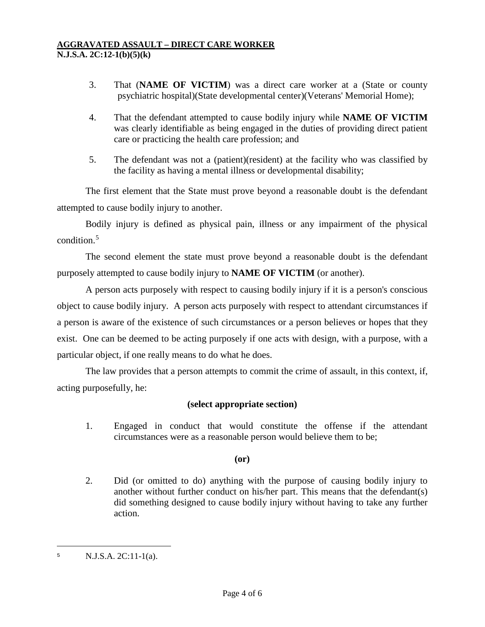- 3. That (**NAME OF VICTIM**) was a direct care worker at a (State or county psychiatric hospital)(State developmental center)(Veterans' Memorial Home);
- 4. That the defendant attempted to cause bodily injury while **NAME OF VICTIM** was clearly identifiable as being engaged in the duties of providing direct patient care or practicing the health care profession; and
- 5. The defendant was not a (patient)(resident) at the facility who was classified by the facility as having a mental illness or developmental disability;

The first element that the State must prove beyond a reasonable doubt is the defendant attempted to cause bodily injury to another.

Bodily injury is defined as physical pain, illness or any impairment of the physical condition. [5](#page-3-0)

The second element the state must prove beyond a reasonable doubt is the defendant purposely attempted to cause bodily injury to **NAME OF VICTIM** (or another).

A person acts purposely with respect to causing bodily injury if it is a person's conscious object to cause bodily injury. A person acts purposely with respect to attendant circumstances if a person is aware of the existence of such circumstances or a person believes or hopes that they exist. One can be deemed to be acting purposely if one acts with design, with a purpose, with a particular object, if one really means to do what he does.

The law provides that a person attempts to commit the crime of assault, in this context, if, acting purposefully, he:

# **(select appropriate section)**

1. Engaged in conduct that would constitute the offense if the attendant circumstances were as a reasonable person would believe them to be;

# **(or)**

2. Did (or omitted to do) anything with the purpose of causing bodily injury to another without further conduct on his/her part. This means that the defendant(s) did something designed to cause bodily injury without having to take any further action.

 $\overline{a}$ 

<span id="page-3-0"></span> $5$  N.J.S.A. 2C:11-1(a).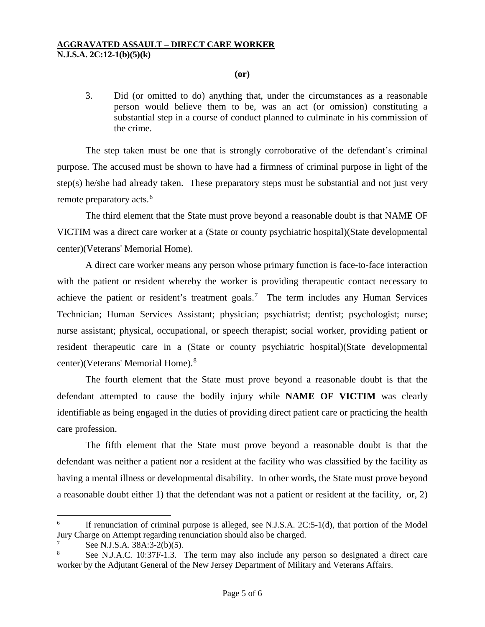### **(or)**

3. Did (or omitted to do) anything that, under the circumstances as a reasonable person would believe them to be, was an act (or omission) constituting a substantial step in a course of conduct planned to culminate in his commission of the crime.

The step taken must be one that is strongly corroborative of the defendant's criminal purpose. The accused must be shown to have had a firmness of criminal purpose in light of the step(s) he/she had already taken. These preparatory steps must be substantial and not just very remote preparatory acts.<sup>[6](#page-4-0)</sup>

The third element that the State must prove beyond a reasonable doubt is that NAME OF VICTIM was a direct care worker at a (State or county psychiatric hospital)(State developmental center)(Veterans' Memorial Home).

A direct care worker means any person whose primary function is face-to-face interaction with the patient or resident whereby the worker is providing therapeutic contact necessary to achieve the patient or resident's treatment goals.<sup>[7](#page-4-1)</sup> The term includes any Human Services Technician; Human Services Assistant; physician; psychiatrist; dentist; psychologist; nurse; nurse assistant; physical, occupational, or speech therapist; social worker, providing patient or resident therapeutic care in a (State or county psychiatric hospital)(State developmental center)(Veterans' Memorial Home). [8](#page-4-2)

The fourth element that the State must prove beyond a reasonable doubt is that the defendant attempted to cause the bodily injury while **NAME OF VICTIM** was clearly identifiable as being engaged in the duties of providing direct patient care or practicing the health care profession.

The fifth element that the State must prove beyond a reasonable doubt is that the defendant was neither a patient nor a resident at the facility who was classified by the facility as having a mental illness or developmental disability. In other words, the State must prove beyond a reasonable doubt either 1) that the defendant was not a patient or resident at the facility, or, 2)

<span id="page-4-0"></span> $6$  If renunciation of criminal purpose is alleged, see N.J.S.A. 2C:5-1(d), that portion of the Model Jury Charge on Attempt regarding renunciation should also be charged.

<span id="page-4-1"></span>See N.J.S.A. 38A:3-2(b)(5).

<span id="page-4-2"></span><sup>8</sup> See N.J.A.C. 10:37F-1.3. The term may also include any person so designated a direct care worker by the Adjutant General of the New Jersey Department of Military and Veterans Affairs.